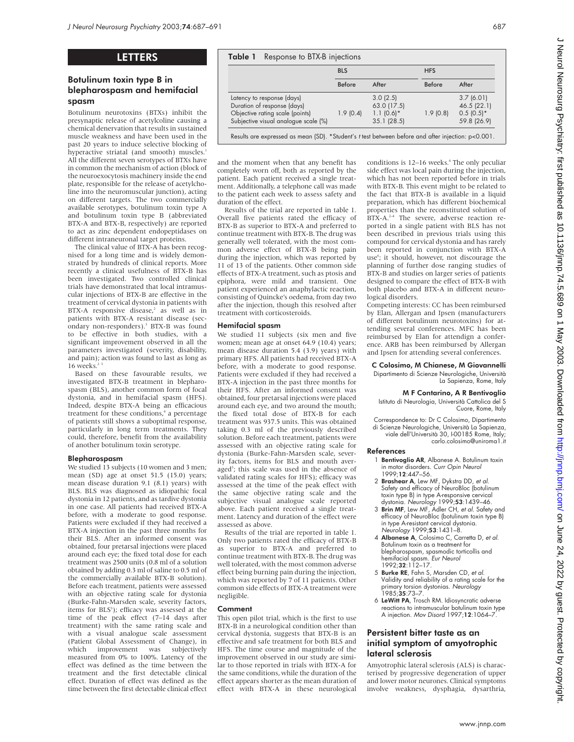# LETTERS

# Botulinum toxin type B in blepharospasm and hemifacial spasm

Botulinum neurotoxins (BTXs) inhibit the presynaptic release of acetylcoline causing a chemical denervation that results in sustained muscle weakness and have been used in the past 20 years to induce selective blocking of hyperactive striatal (and smooth) muscles.<sup>1</sup> All the different seven serotypes of BTXs have in common the mechanism of action (block of the neuroexocytosis machinery inside the end plate, responsible for the release of acetylcholine into the neuromuscular junction), acting on different targets. The two commercially available serotypes, botulinum toxin type A and botulinum toxin type B (abbreviated BTX-A and BTX-B, respectively) are reported to act as zinc dependent endopeptidases on different intraneuronal target proteins.

The clinical value of BTX-A has been recognised for a long time and is widely demonstrated by hundreds of clinical reports. More recently a clinical usefulness of BTX-B has been investigated. Two controlled clinical trials have demonstrated that local intramuscular injections of BTX-B are effective in the treatment of cervical dystonia in patients with BTX-A responsive disease,<sup>2</sup> as well as in patients with BTX-A resistant disease (secondary non-responders).<sup>3</sup> BTX-B was found to be effective in both studies, with a significant improvement observed in all the parameters investigated (severity, disability, and pain); action was found to last as long as  $16$  weeks.<sup>2</sup>

Based on these favourable results, we investigated BTX-B treatment in blepharospasm (BLS), another common form of focal dystonia, and in hemifacial spasm (HFS). Indeed, despite BTX-A being an efficacious treatment for these conditions,<sup>4</sup> a percentage of patients still shows a suboptimal response, particularly in long term treatments. They could, therefore, benefit from the availability of another botulinum toxin serotype.

## Blepharospasm

We studied 13 subjects (10 women and 3 men; mean (SD) age at onset 51.5 (15.0) years; mean disease duration 9.1 (8.1) years) with BLS. BLS was diagnosed as idiopathic focal dystonia in 12 patients, and as tardive dystonia in one case. All patients had received BTX-A before, with a moderate to good response. Patients were excluded if they had received a BTX-A injection in the past three months for their BLS. After an informed consent was obtained, four pretarsal injections were placed around each eye; the fixed total dose for each treatment was 2500 units (0.8 ml of a solution obtained by adding 0.3 ml of saline to 0.5 ml of the commercially available BTX-B solution). Before each treatment, patients were assessed with an objective rating scale for dystonia (Burke-Fahn-Marsden scale, severity factors, items for BLS<sup>5</sup>); efficacy was assessed at the time of the peak effect (7–14 days after treatment) with the same rating scale and with a visual analogue scale assessment (Patient Global Assessment of Change), in<br>which improvement was subjectively which improvement was subjectively measured from 0% to 100%. Latency of the effect was defined as the time between the treatment and the first detectable clinical effect. Duration of effect was defined as the time between the first detectable clinical effect

|                                      | <b>BLS</b> |             | <b>HFS</b>    |              |
|--------------------------------------|------------|-------------|---------------|--------------|
|                                      | Before     | After       | <b>Before</b> | After        |
| Latency to response (days)           |            | 3.0(2.5)    |               | 3.7(6.01)    |
| Duration of response (days)          |            | 63.0 (17.5) |               | 46.5 (22.1)  |
| Objective rating scale (points)      | 1.9(0.4)   | $1.1(0.6)*$ | 1.9(0.8)      | $0.5(0.5)^*$ |
| Subjective visual analogue scale (%) |            | 35.1(28.5)  |               | 59.8 (26.9)  |

and the moment when that any benefit has completely worn off, both as reported by the patient. Each patient received a single treatment. Additionally, a telephone call was made to the patient each week to assess safety and duration of the effect.

Results of the trial are reported in table 1. Overall five patients rated the efficacy of BTX-B as superior to BTX-A and preferred to continue treatment with BTX-B. The drug was generally well tolerated, with the most common adverse effect of BTX-B being pain during the injection, which was reported by 11 of 13 of the patients. Other common side effects of BTX-A treatment, such as ptosis and epiphora, were mild and transient. One patient experienced an anaphylactic reaction, consisting of Quincke's oedema, from day two after the injection, though this resolved after treatment with corticosteroids.

## Hemifacial spasm

We studied 11 subjects (six men and five women; mean age at onset 64.9 (10.4) years; mean disease duration 5.4 (3.9) years) with primary HFS. All patients had received BTX-A before, with a moderate to good response. Patients were excluded if they had received a BTX-A injection in the past three months for their HFS. After an informed consent was obtained, four pretarsal injections were placed around each eye, and two around the mouth; the fixed total dose of BTX-B for each treatment was 937.5 units. This was obtained taking 0.3 ml of the previously described solution. Before each treatment, patients were assessed with an objective rating scale for dystonia (Burke-Fahn-Marsden scale, severity factors, items for BLS and mouth averaged<sup>5</sup>; this scale was used in the absence of validated rating scales for HFS); efficacy was assessed at the time of the peak effect with the same objective rating scale and the subjective visual analogue scale reported above. Each patient received a single treatment. Latency and duration of the effect were assessed as above.

Results of the trial are reported in table 1. Only two patients rated the efficacy of BTX-B as superior to BTX-A and preferred to continue treatment with BTX-B. The drug was well tolerated, with the most common adverse effect being burning pain during the injection, which was reported by 7 of 11 patients. Other common side effects of BTX-A treatment were negligible.

## Comment

This open pilot trial, which is the first to use BTX-B in a neurological condition other than cervical dystonia, suggests that BTX-B is an effective and safe treatment for both BLS and HFS. The time course and magnitude of the improvement observed in our study are similar to those reported in trials with BTX-A for the same conditions, while the duration of the effect appears shorter as the mean duration of effect with BTX-A in these neurological conditions is 12–16 weeks.<sup>4</sup> The only peculiar side effect was local pain during the injection, which has not been reported before in trials with BTX-B. This event might to be related to the fact that BTX-B is available in a liquid preparation, which has different biochemical properties than the reconstituted solution of BTX-A.<sup>2-4</sup> The severe, adverse reaction reported in a single patient with BLS has not been described in previous trials using this compound for cervical dystonia and has rarely been reported in conjunction with BTX-A use<sup>6</sup>; it should, however, not discourage the planning of further dose ranging studies of BTX-B and studies on larger series of patients designed to compare the effect of BTX-B with both placebo and BTX-A in different neurological disorders.

Competing interests: CC has been reimbursed by Elan, Allergan and Ipsen (manufacturers of different botulinum neurotoxins) for attending several conferences. MFC has been reimbursed by Elan for attendign a conference. ARB has been reimbursed by Allergan and Ipsen for attending several conferences.

C Colosimo, M Chianese, M Giovannelli Dipartimento di Scienze Neurologiche, Università La Sapienza, Rome, Italy

# M F Contarino, A R Bentivoglio

Istituto di Neurologia, Università Cattolica del S Cuore, Rome, Italy

Correspondence to: Dr C Colosimo, Dipartimento di Scienze Neurologiche, Università La Sapienza, viale dell'Università 30, I-00185 Rome, Italy; carlo.colosimo@uniroma1.it

## References

- 1 Bentivoglio AR, Albanese A. Botulinum toxin in motor disorders. Curr Opin Neurol 1999;12:447–56.
- 2 **Brashear A**, Lew MF, Dykstra DD, et al. Safety and efficacy of NeuroBloc (botulinum toxin type B) in type A-responsive cervical
- dystonia. Ne*urology* 1999;**53**:1439–46.<br>3 **Brin MF**, Lew MF, Adler CH, *et al*. Safety and efficacy of NeuroBloc (botulinum toxin type B) in type A-resistant cervical dystonia. Neurology 1999;53:1431-8.
- 4 Albanese A, Colosimo C, Carretta D, et al. Botulinum toxin as a treatment for blepharospasm, spasmodic torticollis and hemifacial spasm. Eur Neurol 1992;32:112–17.
- 5 Burke RE, Fahn S, Marsden CD, et al. Validity and reliability of a rating scale for the primary torsion dystonias. Neurology 1985;35:73–7.
- 6 LeWitt PA, Trosch RM. Idiosyncratic adverse reactions to intramuscular botulinum toxin type A injection. Mov Disord 1997;12:1064–7.

# Persistent bitter taste as an initial symptom of amyotrophic lateral sclerosis

Amyotrophic lateral sclerosis (ALS) is characterised by progressive degeneration of upper and lower motor neurones. Clinical symptoms involve weakness, dysphagia, dysarthria,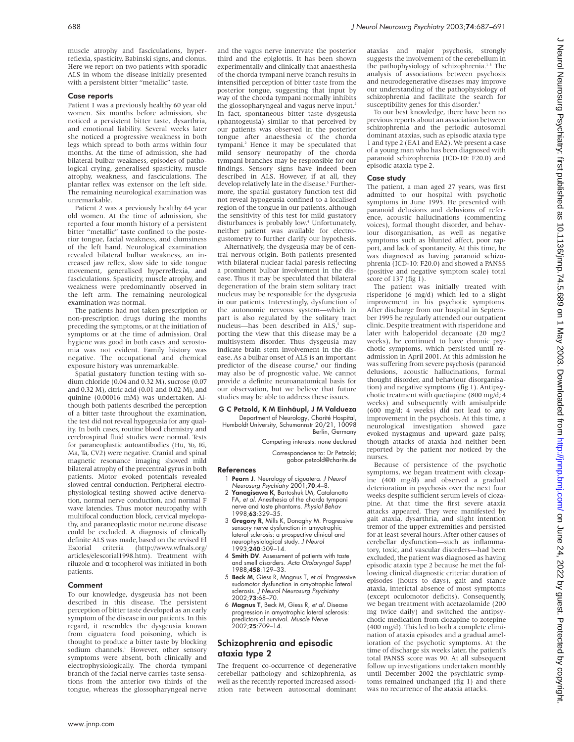muscle atrophy and fasciculations, hyperreflexia, spasticity, Babinski signs, and clonus. Here we report on two patients with sporadic ALS in whom the disease initially presented with a persistent bitter "metallic" taste.

### Case reports

Patient 1 was a previously healthy 60 year old women. Six months before admission, she noticed a persistent bitter taste, dysarthria, and emotional liability. Several weeks later she noticed a progressive weakness in both legs which spread to both arms within four months. At the time of admission, she had bilateral bulbar weakness, episodes of pathological crying, generalised spasticity, muscle atrophy, weakness, and fasciculations. The plantar reflex was extensor on the left side. The remaining neurological examination was unremarkable.

Patient 2 was a previously healthy 64 year old women. At the time of admission, she reported a four month history of a persistent bitter "metallic" taste confined to the posterior tongue, facial weakness, and clumsiness of the left hand. Neurological examination revealed bilateral bulbar weakness, an increased jaw reflex, slow side to side tongue movement, generalised hyperreflexia, and fasciculations. Spasticity, muscle atrophy, and weakness were predominantly observed in the left arm. The remaining neurological examination was normal.

The patients had not taken prescription or non-prescription drugs during the months preceding the symptoms, or at the initiation of symptoms or at the time of admission. Oral hygiene was good in both cases and xerostomia was not evident. Family history was negative. The occupational and chemical exposure history was unremarkable.

Spatial gustatory function testing with sodium chloride (0.04 and 0.32 M), sucrose (0.07 and 0.32 M), citric acid (0.01 and 0.02 M), and quinine (0.00016 mM) was undertaken. Although both patients described the perception of a bitter taste throughout the examination, the test did not reveal hypogeusia for any quality. In both cases, routine blood chemistry and cerebrospinal fluid studies were normal. Tests for paraneoplastic autoantibodies (Hu, Yo, Ri, Ma, Ta, CV2) were negative. Cranial and spinal magnetic resonance imaging showed mild bilateral atrophy of the precentral gyrus in both patients. Motor evoked potentials revealed slowed central conduction. Peripheral electrophysiological testing showed active denervation, normal nerve conduction, and normal F wave latencies. Thus motor neuropathy with multifocal conduction block, cervical myelopathy, and paraneoplastic motor neurone disease could be excluded. A diagnosis of clinically definite ALS was made, based on the revised El Escorial criteria (http://www.wfnals.org/  $(http://www.wfnals.org/$ articles/elescorial1998.htm). Treatment with riluzole and α tocopherol was initiated in both patients.

### Comment

To our knowledge, dysgeusia has not been described in this disease. The persistent perception of bitter taste developed as an early symptom of the disease in our patients. In this regard, it resembles the dysgeusia known from ciguatera food poisoning, which is thought to produce a bitter taste by blocking sodium channels.<sup>1</sup> However, other sensory symptoms were absent, both clinically and electrophysiologically. The chorda tympani branch of the facial nerve carries taste sensations from the anterior two thirds of the tongue, whereas the glossopharyngeal nerve

and the vagus nerve innervate the posterior third and the epiglottis. It has been shown experimentally and clinically that anaesthesia of the chorda tympani nerve branch results in intensified perception of bitter taste from the posterior tongue, suggesting that input by way of the chorda tympani normally inhibits the glossopharyngeal and vagus nerve input.<sup>2</sup> In fact, spontaneous bitter taste dysgeusia (phantogeusia) similar to that perceived by our patients was observed in the posterior tongue after anaesthesia of the chorda tympani.<sup>2</sup> Hence it may be speculated that mild sensory neuropathy of the chorda tympani branches may be responsible for our findings. Sensory signs have indeed been described in ALS. However, if at all, they develop relatively late in the disease.<sup>3</sup> Furthermore, the spatial gustatory function test did not reveal hypogeusia confined to a localised region of the tongue in our patients, although the sensitivity of this test for mild gustatory disturbances is probably low.<sup>4</sup> Unfortunately, neither patient was available for electrogustometry to further clarify our hypothesis.

Alternatively, the dysgeusia may be of central nervous origin. Both patients presented with bilateral nuclear facial paresis reflecting a prominent bulbar involvement in the disease. Thus it may be speculated that bilateral degeneration of the brain stem solitary tract nucleus may be responsible for the dysgeusia in our patients. Interestingly, dysfunction of the autonomic nervous system—which in part is also regulated by the solitary tract nucleus—has been described in ALS,<sup>5</sup> supporting the view that this disease may be a multisystem disorder. Thus dysgeusia may indicate brain stem involvement in the disease. As a bulbar onset of ALS is an important predictor of the disease course,<sup>6</sup> our finding may also be of prognostic value. We cannot provide a definite neuroanatomical basis for our observation, but we believe that future studies may be able to address these issues.

### G C Petzold, K M Einhäupl, J M Valdueza

Department of Neurology, Charité Hospital, Humboldt University, Schumannstr 20/21, 10098 Berlin, Germany

Competing interests: none declared

Correspondence to: Dr Petzold; gabor.petzold@charite.de

### References

- 1 Pearn J. Neurology of ciguatera. J Neurol Neurosurg Psychiatry 2001;70:4–8.
- 2 Yanagisawa K, Bartoshuk LM, Catalanotto FA, et al. Anesthesia of the chorda tympani nerve and taste phantoms. Physiol Behav 1998;63:329–35.
- 3 Gregory R, Mills K, Donaghy M. Progressive sensory nerve dysfunction in amyotrophic lateral sclerosis: a prospective clinical and neurophysiological study. J Neurol 1993;240:309–14.
- 4 Smith DV. Assessment of patients with taste and smell disorders. Acta Otolaryngol Suppl 1988:458:129-33.
- 5 Beck M, Giess R, Magnus T, et al. Progressive sudomotor dysfunction in amyotrophic lateral sclerosis. J Neurol Neurosurg Psychiatry 2002;73:68–70.
- 6 Magnus T, Beck M, Giess R, et al. Disease progression in amyotrophic lateral sclerosis: predictors of survival. Muscle Nerve 2002;25:709–14.

# Schizophrenia and episodic ataxia type 2

The frequent co-occurrence of degenerative cerebellar pathology and schizophrenia, as well as the recently reported increased association rate between autosomal dominant ataxias and major psychosis, strongly suggests the involvement of the cerebellum in the pathophysiology of schizophrenia.<sup>1-3</sup> The analysis of associations between psychosis and neurodegenerative diseases may improve our understanding of the pathophysiology of schizophrenia and facilitate the search for susceptibility genes for this disorder.<sup>4</sup>

To our best knowledge, there have been no previous reports about an association between schizophrenia and the periodic autosomal dominant ataxias, such as episodic ataxia type 1 and type 2 (EA1 and EA2). We present a case of a young man who has been diagnosed with paranoid schizophrenia (ICD-10: F20.0) and episodic ataxia type 2.

## Case study

The patient, a man aged 27 years, was first admitted to our hospital with psychotic symptoms in June 1995. He presented with paranoid delusions and delusions of reference, acoustic hallucinations (commenting voices), formal thought disorder, and behaviour disorganisation, as well as negative symptoms such as blunted affect, poor rapport, and lack of spontaneity. At this time, he was diagnosed as having paranoid schizophrenia (ICD-10: F20.0) and showed a PANSS (positive and negative symptom scale) total score of 137 (fig 1).

The patient was initially treated with risperidone (6 mg/d) which led to a slight improvement in his psychotic symptoms. After discharge from our hospital in September 1995 he regularly attended our outpatient clinic. Despite treatment with risperidone and later with haloperidol decanoate (20 mg/2 weeks), he continued to have chronic psychotic symptoms, which persisted until readmission in April 2001. At this admission he was suffering from severe psychosis (paranoid delusions, acoustic hallucinations, formal thought disorder, and behaviour disorganisation) and negative symptoms (fig 1). Antipsychotic treatment with quetiapine (800 mg/d; 4 weeks) and subsequently with amisulpride (600 mg/d; 4 weeks) did not lead to any improvement in the psychosis. At this time, a neurological investigation showed gaze evoked nystagmus and upward gaze palsy, though attacks of ataxia had neither been reported by the patient nor noticed by the nurses.

Because of persistence of the psychotic symptoms, we began treatment with clozapine (400 mg/d) and observed a gradual deterioration in psychosis over the next four weeks despite sufficient serum levels of clozapine. At that time the first severe ataxia attacks appeared. They were manifested by gait ataxia, dysarthria, and slight intention tremor of the upper extremities and persisted for at least several hours. After other causes of cerebellar dysfunction—such as inflammatory, toxic, and vascular disorders—had been excluded, the patient was diagnosed as having episodic ataxia type 2 because he met the following clinical diagnostic criteria: duration of episodes (hours to days), gait and stance ataxia, interictal absence of most symptoms (except oculomotor deficits). Consequently, we began treatment with acetazolamide (200 mg twice daily) and switched the antipsychotic medication from clozapine to zotepine (400 mg/d). This led to both a complete elimination of ataxia episodes and a gradual amelioration of the psychotic symptoms. At the time of discharge six weeks later, the patient's total PANSS score was 90. At all subsequent follow up investigations undertaken monthly until December 2002 the psychiatric symptoms remained unchanged (fig 1) and there was no recurrence of the ataxia attacks.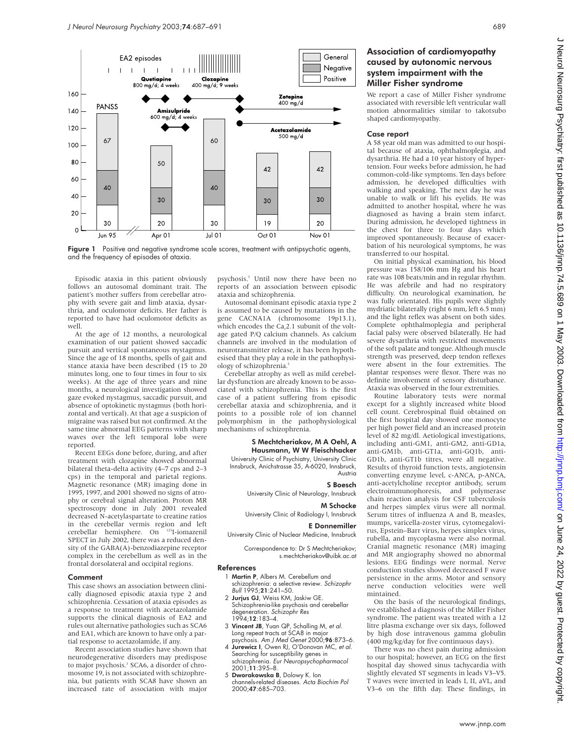

Figure 1 Positive and negative syndrome scale scores, treatment with antipsychotic agents, and the frequency of episodes of ataxia.

Episodic ataxia in this patient obviously follows an autosomal dominant trait. The patient's mother suffers from cerebellar atrophy with severe gait and limb ataxia, dysarthria, and oculomotor deficits. Her father is reported to have had oculomotor deficits as well.

At the age of 12 months, a neurological examination of our patient showed saccadic pursuit and vertical spontaneous nystagmus. Since the age of 18 months, spells of gait and stance ataxia have been described (15 to 20 minutes long, one to four times in four to six weeks). At the age of three years and nine months, a neurological investigation showed gaze evoked nystagmus, saccadic pursuit, and absence of optokinetic nystagmus (both horizontal and vertical). At that age a suspicion of migraine was raised but not confirmed. At the same time abnormal EEG patterns with sharp waves over the left temporal lobe were reported.

Recent EEGs done before, during, and after treatment with clozapine showed abnormal bilateral theta-delta activity (4–7 cps and 2–3 cps) in the temporal and parietal regions. Magnetic resonance (MR) imaging done in 1995, 1997, and 2001 showed no signs of atrophy or cerebral signal alteration. Proton MR spectroscopy done in July 2001 revealed decreased N-acetylaspartate to creatine ratios in the cerebellar vermis region and left cerebellar hemisphere. On 123I-iomazenil SPECT in July 2002, there was a reduced density of the GABA(A)-benzodiazepine receptor complex in the cerebellum as well as in the frontal dorsolateral and occipital regions.

## Comment

This case shows an association between clinically diagnosed episodic ataxia type 2 and schizophrenia. Cessation of ataxia episodes as a response to treatment with acetazolamide supports the clinical diagnosis of EA2 and rules out alternative pathologies such as SCA6 and EA1, which are known to have only a partial response to acetazolamide, if any.

Recent association studies have shown that neurodegenerative disorders may predispose to major psychosis.<sup>3</sup> SCA6, a disorder of chromosome 19, is not associated with schizophrenia, but patients with SCA8 have shown an increased rate of association with major

psychosis.3 Until now there have been no reports of an association between episodic ataxia and schizophrenia.

Autosomal dominant episodic ataxia type 2 is assumed to be caused by mutations in the gene CACNA1A (chromosome 19p13.1), which encodes the Ca<sub>v</sub>2.1 subunit of the voltage gated P/Q calcium channels. As calcium channels are involved in the modulation of neurotransmitter release, it has been hypothesised that they play a role in the pathophysiology of schizophrenia.<sup>5</sup>

Cerebellar atrophy as well as mild cerebellar dysfunction are already known to be associated with schizophrenia. This is the first case of a patient suffering from episodic cerebellar ataxia and schizophrenia, and it points to a possible role of ion channel polymorphism in the pathophysiological mechanisms of schizophrenia.

## S Mechtcheriakov, M A Oehl, A Hausmann, W W Fleischhacker

University Clinic of Psychiatry, University Clinic Innsbruck, Anichstrasse 35, A-6020, Innsbruck, Austria

### S Boesch

University Clinic of Neurology, Innsbruck

### M Schocke

University Clinic of Radiology I, Innsbruck

### E Donnemiller University Clinic of Nuclear Medicine, Innsbruck

Correspondence to: Dr S Mechtcheriakov; s.mechtcheriakov@uibk.ac.at

### References

- 1 Martin P, Albers M. Cerebellum and schizophrenia: a selective review. Schizophr Bull 1995;21:241–50.
- 2 Jurjus GJ, Weiss KM, Jaskiw GE. Schizophrenia-like psychosis and cerebellar degeneration. Schizophr Res 1994;12:183–4.
- 3 Vincent JB, Yuan QP, Schalling M, et al. Long repeat tracts at SCA8 in major
- psychosis. Am J Med Genet 2000;96:873–6. 4 Jurewicz I, Owen RJ, O'Donovan MC, et al. Searching for susceptibility genes in
- schizophrenia. Eur Neuropsychopharmacol 2001;11:395–8. 5 Dworakowska B, Dolowy K. Ion
- channels-related diseases. Acta Biochim Pol 2000;47:685–703.

# Association of cardiomyopathy caused by autonomic nervous system impairment with the Miller Fisher syndrome

We report a case of Miller Fisher syndrome associated with reversible left ventricular wall motion abnormalities similar to takotsubo shaped cardiomyopathy.

### Case report

A 58 year old man was admitted to our hospital because of ataxia, ophthalmoplegia, and dysarthria. He had a 10 year history of hypertension. Four weeks before admission, he had common-cold-like symptoms. Ten days before admission, he developed difficulties with walking and speaking. The next day he was unable to walk or lift his eyelids. He was admitted to another hospital, where he was diagnosed as having a brain stem infarct. During admission, he developed tightness in the chest for three to four days which improved spontaneously. Because of exacerbation of his neurological symptoms, he was transferred to our hospital.

On initial physical examination, his blood pressure was 158/106 mm Hg and his heart rate was 108 beats/min and in regular rhythm. He was afebrile and had no respiratory difficulty. On neurological examination, he was fully orientated. His pupils were slightly mydriatic bilaterally (right 6 mm, left 6.5 mm) and the light reflex was absent on both sides. Complete ophthalmoplegia and peripheral facial palsy were observed bilaterally. He had severe dysarthria with restricted movements of the soft palate and tongue. Although muscle strength was preserved, deep tendon reflexes were absent in the four extremities. The plantar responses were flexor. There was no definite involvement of sensory disturbance. Ataxia was observed in the four extremities.

Routine laboratory tests were normal except for a slightly increased white blood cell count. Cerebrospinal fluid obtained on the first hospital day showed one monocyte per high power field and an increased protein level of 82 mg/dl. Aetiological investigations, including anti-GM1, anti-GM2, anti-GD1a, anti-GM1b, anti-GT1a, anti-GQ1b, anti-GD1b, anti-GT1b titres, were all negative. Results of thyroid function tests, angiotensin converting enzyme level, c-ANCA, p-ANCA, anti-acetylcholine receptor antibody, serum electroimmunophoresis, and polymerase chain reaction analysis for CSF tuberculosis and herpes simplex virus were all normal. Serum titres of influenza A and B, measles, mumps, varicella-zoster virus, cytomegalovirus, Epstein–Barr virus, herpes simplex virus, rubella, and mycoplasma were also normal. Cranial magnetic resonance (MR) imaging and MR angiography showed no abnormal lesions. EEG findings were normal. Nerve conduction studies showed decreased F wave persistence in the arms. Motor and sensory nerve conduction velocities were well mintained.

On the basis of the neurological findings, we established a diagnosis of the Miller Fisher syndrome. The patient was treated with a 12 litre plasma exchange over six days, followed by high dose intravenous gamma globulin (400 mg/kg/day for five continuous days).

There was no chest pain during admission to our hospital; however, an ECG on the first hospital day showed sinus tachycardia with slightly elevated ST segments in leads V3–V5. T waves were inverted in leads I, II, aVL, and V3–6 on the fifth day. These findings, in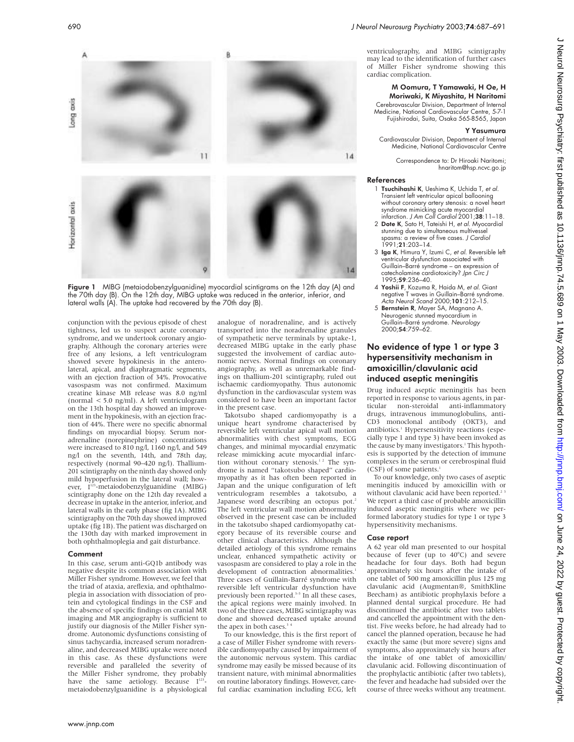

Figure 1 MIBG (metaiodobenzylguanidine) myocardial scintigrams on the 12th day (A) and the 70th day (B). On the 12th day, MIBG uptake was reduced in the anterior, inferior, and lateral walls (A). The uptake had recovered by the 70th day (B).

conjunction with the pevious episode of chest tightness, led us to suspect acute coronary syndrome, and we undertook coronary angiography. Although the coronary arteries were free of any lesions, a left ventriculogram showed severe hypokinesis in the anterolateral, apical, and diaphragmatic segments, with an ejection fraction of 34%. Provocative vasospasm was not confirmed. Maximum creatine kinase MB release was 8.0 ng/ml (normal < 5.0 ng/ml). A left ventriculogram on the 13th hospital day showed an improvement in the hypokinesis, with an ejection fraction of 44%. There were no specific abnormal findings on myocardial biopsy. Serum noradrenaline (norepinephrine) concentrations were increased to 810 ng/l, 1160 ng/l, and 549 ng/l on the seventh, 14th, and 78th day, respectively (normal 90–420 ng/l). Thallium-201 scintigraphy on the ninth day showed only mild hypoperfusion in the lateral wall; however, I<sup>123</sup>-metaiodobenzylguanidine (MIBG) scintigraphy done on the 12th day revealed a decrease in uptake in the anterior, inferior, and lateral walls in the early phase (fig 1A). MIBG scintigraphy on the 70th day showed improved uptake (fig 1B). The patient was discharged on the 130th day with marked improvement in both ophthalmoplegia and gait disturbance.

### Comment

In this case, serum anti-GQ1b antibody was negative despite its common association with Miller Fisher syndrome. However, we feel that the triad of ataxia, areflexia, and ophthalmoplegia in association with dissociation of protein and cytological findings in the CSF and the absence of specific findings on cranial MR imaging and MR angiography is sufficient to justify our diagnosis of the Miller Fisher syndrome. Autonomic dysfunctions consisting of sinus tachycardia, increased serum noradrenaline, and decreased MIBG uptake were noted in this case. As these dysfunctions were reversible and paralleled the severity of the Miller Fisher syndrome, they probably have the same aetiology. Because  $I^{123}$ metaiodobenzylguanidine is a physiological

analogue of noradrenaline, and is actively transported into the noradrenaline granules of sympathetic nerve terminals by uptake-1, decreased MIBG uptake in the early phase suggested the involvement of cardiac autonomic nerves. Normal findings on coronary angiography, as well as unremarkable findings on thallium-201 scintigraphy, ruled out ischaemic cardiomyopathy. Thus autonomic dysfunction in the cardiovascular system was considered to have been an important factor in the present case.

Takotsubo shaped cardiomyopathy is a unique heart syndrome characterised by reversible left ventricular apical wall motion abnormalities with chest symptoms, ECG changes, and minimal myocardial enzymatic release mimicking acute myocardial infarction without coronary stenosis.<sup>12</sup> The syndrome is named "takotsubo shaped" cardiomyopathy as it has often been reported in Japan and the unique configuration of left ventriculogram resembles a takotsubo, a Japanese word describing an octopus pot.<sup>2</sup> The left ventricular wall motion abnormality observed in the present case can be included in the takotsubo shaped cardiomyopathy category because of its reversible course and other clinical characteristics. Although the detailed aetiology of this syndrome remains unclear, enhanced sympathetic activity or vasospasm are considered to play a role in the development of contraction abnormalities. Three cases of Guillain-Barré syndrome with reversible left ventricular dysfunction have previously been reported.<sup>3-5</sup> In all these cases, the apical regions were mainly involved. In two of the three cases, MIBG scintigraphy was done and showed decreased uptake around the apex in both cases.<sup>3</sup>

To our knowledge, this is the first report of a case of Miller Fisher syndrome with reversible cardiomyopathy caused by impairment of the autonomic nervous system. This cardiac syndrome may easily be missed because of its transient nature, with minimal abnormalities on routine laboratory findings. However, careful cardiac examination including ECG, left

ventriculography, and MIBG scintigraphy may lead to the identification of further cases of Miller Fisher syndrome showing this cardiac complication.

## M Oomura, T Yamawaki, H Oe, H Moriwaki, K Miyashita, H Naritomi

Cerebrovascular Division, Department of Internal Medicine, National Cardiovascular Centre, 5-7-1 Fujishirodai, Suita, Osaka 565-8565, Japan

### Y Yasumura

Cardiovascular Division, Department of Internal Medicine, National Cardiovascular Centre

Correspondence to: Dr Hiroaki Naritomi; hnaritom@hsp.ncvc.go.jp

### References

- 1 Tsuchihashi K, Ueshima K, Uchida T, et al. Transient left ventricular apical ballooning without coronary artery stenosis: a novel heart syndrome mimicking acute myocardial infarction. J Am Coll Cardiol 2001;38:11–18.
- 2 Dote K, Sato H, Tateishi H, et al. Myocardial stunning due to simultaneous multivessel spasms: a review of five cases. J Cardiol 1991;21:203–14.
- 3 Iga K, Himura Y, Izumi C, et al. Reversible left ventricular dysfunction associated with Guillain–Barré syndrome – an expression of catecholamine cardiotoxicity? Jpn Circ J 1995;59:236–40.
- 4 Yoshii F, Kozuma R, Haida M, et al. Giant negative T waves in Guillain–Barré syndrome. Acta Neurol Scand 2000;101:212–15.
- 5 Bernstein R, Mayer SA, Magnano A. Neurogenic stunned myocardium in<br>Guillain–Barré syndrome. *Neurology*<br>2000;**54**:759–62.

# No evidence of type 1 or type 3 hypersensitivity mechanism in amoxicillin/clavulanic acid induced aseptic meningitis

Drug induced aseptic meningitis has been reported in response to various agents, in par-<br>ticular pon-steroidal anti-inflammatory non-steroidal anti-inflammatory drugs, intravenous immunoglobulins, anti-CD3 monoclonal antibody (OKT3), and antibiotics.<sup>1</sup> Hypersensitivity reactions (especially type 1 and type 3) have been invoked as the cause by many investigators.<sup>1</sup> This hypothesis is supported by the detection of immune complexes in the serum or cerebrospinal fluid (CSF) of some patients.

To our knowledge, only two cases of aseptic meningitis induced by amoxicillin with or without clavulanic acid have been reported.<sup>2</sup> We report a third case of probable amoxicillin induced aseptic meningitis where we performed laboratory studies for type 1 or type 3 hypersensitivity mechanisms.

## Case report

A 62 year old man presented to our hospital because of fever (up to 40°C) and severe headache for four days. Both had begun approximately six hours after the intake of one tablet of 500 mg amoxicillin plus 125 mg clavulanic acid (Augmentan®, SmithKline Beecham) as antibiotic prophylaxis before a planned dental surgical procedure. He had discontinued the antibiotic after two tablets and cancelled the appointment with the dentist. Five weeks before, he had already had to cancel the planned operation, because he had exactly the same (but more severe) signs and symptoms, also approximately six hours after the intake of one tablet of amoxicillin/ clavulanic acid. Following discontinuation of the prophylactic antibiotic (after two tablets), the fever and headache had subsided over the course of three weeks without any treatment.